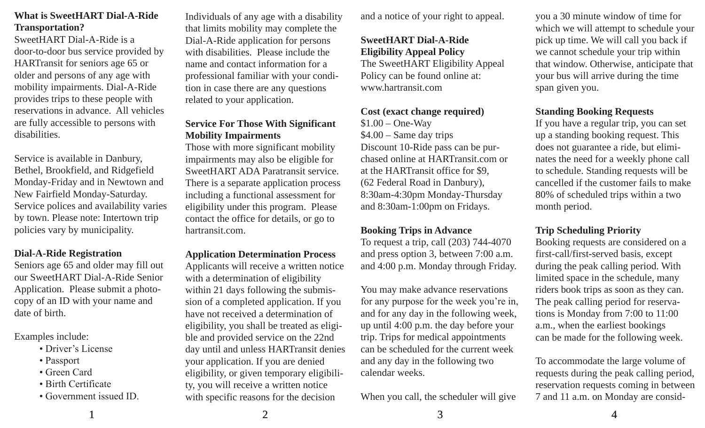# **What is SweetHART Dial-A-Ride Transportation?**

SweetHART Dial-A-Ride is a door-to-door bus service provided by HARTransit for seniors age 65 or older and persons of any age with mobility impairments. Dial-A-Ride provides trips to these people with reservations in advance. All vehicles are fully accessible to persons with disabilities.

Service is available in Danbury, Bethel, Brookfield, and Ridgefield Monday-Friday and in Newtown and New Fairfield Monday-Saturday. Service polices and availability varies by town. Please note: Intertown trip policies vary by municipality.

#### **Dial-A-Ride Registration**

Seniors age 65 and older may fill out our SweetHART Dial-A-Ride Senior Application. Please submit a photocopy of an ID with your name and date of birth.

Examples include:

- Driver's License
- Passport
- Green Card
- Birth Certificate
- Government issued ID.

Individuals of any age with a disability that limits mobility may complete the Dial-A-Ride application for persons with disabilities. Please include the name and contact information for a professional familiar with your condition in case there are any questions related to your application.

# **Service For Those With Significant Mobility Impairments**

Those with more significant mobility impairments may also be eligible for SweetHART ADA Paratransit service. There is a separate application process including a functional assessment for eligibility under this program. Please contact the office for details, or go to hartransit.com.

#### **Application Determination Process**

Applicants will receive a written notice with a determination of eligibility within 21 days following the submission of a completed application. If you have not received a determination of eligibility, you shall be treated as eligible and provided service on the 22nd day until and unless HARTransit denies your application. If you are denied eligibility, or given temporary eligibility, you will receive a written notice with specific reasons for the decision

and a notice of your right to appeal.

## **SweetHART Dial-A-Ride Eligibility Appeal Policy**

The SweetHART Eligibility Appeal Policy can be found online at: www.hartransit.com

#### **Cost (exact change required)**

 $$1.00 - One-Wav$ \$4.00 – Same day trips Discount 10-Ride pass can be purchased online at HARTransit.com or at the HARTransit office for \$9, (62 Federal Road in Danbury), 8:30am-4:30pm Monday-Thursday and 8:30am-1:00pm on Fridays.

# **Booking Trips in Advance**

To request a trip, call (203) 744-4070 and press option 3, between 7:00 a.m. and 4:00 p.m. Monday through Friday.

You may make advance reservations for any purpose for the week you're in, and for any day in the following week, up until 4:00 p.m. the day before your trip. Trips for medical appointments can be scheduled for the current week and any day in the following two calendar weeks.

When you call, the scheduler will give

you a 30 minute window of time for which we will attempt to schedule your pick up time. We will call you back if we cannot schedule your trip within that window. Otherwise, anticipate that your bus will arrive during the time span given you.

## **Standing Booking Requests**

If you have a regular trip, you can set up a standing booking request. This does not guarantee a ride, but eliminates the need for a weekly phone call to schedule. Standing requests will be cancelled if the customer fails to make 80% of scheduled trips within a two month period.

#### **Trip Scheduling Priority**

Booking requests are considered on a first-call/first-served basis, except during the peak calling period. With limited space in the schedule, many riders book trips as soon as they can. The peak calling period for reservations is Monday from 7:00 to 11:00 a.m., when the earliest bookings can be made for the following week.

To accommodate the large volume of requests during the peak calling period, reservation requests coming in between 7 and 11 a.m. on Monday are consid-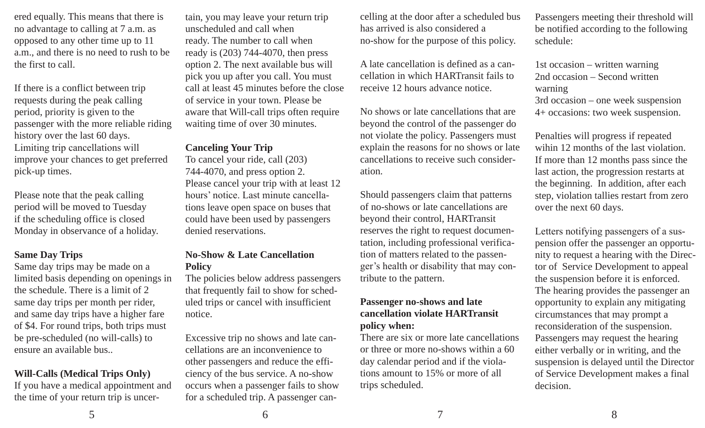ered equally. This means that there is no advantage to calling at 7 a.m. as opposed to any other time up to 11 a.m., and there is no need to rush to be the first to call.

If there is a conflict between trip requests during the peak calling period, priority is given to the passenger with the more reliable riding history over the last 60 days. Limiting trip cancellations will improve your chances to get preferred pick-up times.

Please note that the peak calling period will be moved to Tuesday if the scheduling office is closed Monday in observance of a holiday.

# **Same Day Trips**

Same day trips may be made on a limited basis depending on openings in the schedule. There is a limit of 2 same day trips per month per rider, and same day trips have a higher fare of \$4. For round trips, both trips must be pre-scheduled (no will-calls) to ensure an available bus..

#### **Will-Calls (Medical Trips Only)**

If you have a medical appointment and the time of your return trip is uncertain, you may leave your return trip unscheduled and call when ready. The number to call when ready is (203) 744-4070, then press option 2. The next available bus will pick you up after you call. You must call at least 45 minutes before the close of service in your town. Please be aware that Will-call trips often require waiting time of over 30 minutes.

#### **Canceling Your Trip**

To cancel your ride, call (203) 744-4070, and press option 2. Please cancel your trip with at least 12 hours' notice. Last minute cancellations leave open space on buses that could have been used by passengers denied reservations.

#### **No-Show & Late Cancellation Policy**

The policies below address passengers that frequently fail to show for scheduled trips or cancel with insufficient notice.

Excessive trip no shows and late cancellations are an inconvenience to other passengers and reduce the efficiency of the bus service. A no-show occurs when a passenger fails to show for a scheduled trip. A passenger cancelling at the door after a scheduled bus has arrived is also considered a no-show for the purpose of this policy.

A late cancellation is defined as a cancellation in which HARTransit fails to receive 12 hours advance notice.

No shows or late cancellations that are beyond the control of the passenger do not violate the policy. Passengers must explain the reasons for no shows or late cancellations to receive such consideration.

Should passengers claim that patterns of no-shows or late cancellations are beyond their control, HARTransit reserves the right to request documentation, including professional verification of matters related to the passenger's health or disability that may contribute to the pattern.

# **Passenger no-shows and late cancellation violate HARTransit policy when:**

There are six or more late cancellations or three or more no-shows within a 60 day calendar period and if the violations amount to 15% or more of all trips scheduled.

Passengers meeting their threshold will be notified according to the following schedule:

1st occasion – written warning 2nd occasion – Second written warning 3rd occasion – one week suspension 4+ occasions: two week suspension.

Penalties will progress if repeated wihin 12 months of the last violation. If more than 12 months pass since the last action, the progression restarts at the beginning. In addition, after each step, violation tallies restart from zero over the next 60 days.

Letters notifying passengers of a suspension offer the passenger an opportunity to request a hearing with the Director of Service Development to appeal the suspension before it is enforced. The hearing provides the passenger an opportunity to explain any mitigating circumstances that may prompt a reconsideration of the suspension. Passengers may request the hearing either verbally or in writing, and the suspension is delayed until the Director of Service Development makes a final decision.

 $5 \hspace{2.5cm} 6 \hspace{2.5cm} 7$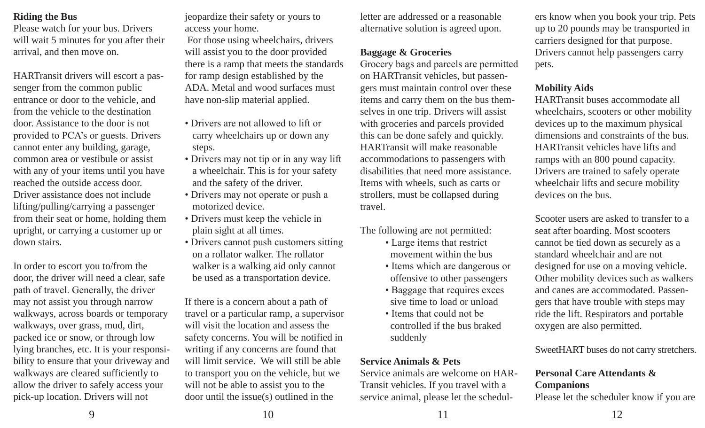# **Riding the Bus**

Please watch for your bus. Drivers will wait 5 minutes for you after their arrival, and then move on.

HARTransit drivers will escort a passenger from the common public entrance or door to the vehicle, and from the vehicle to the destination door. Assistance to the door is not provided to PCA's or guests. Drivers cannot enter any building, garage, common area or vestibule or assist with any of your items until you have reached the outside access door. Driver assistance does not include lifting/pulling/carrying a passenger from their seat or home, holding them upright, or carrying a customer up or down stairs.

In order to escort you to/from the door, the driver will need a clear, safe path of travel. Generally, the driver may not assist you through narrow walkways, across boards or temporary walkways, over grass, mud, dirt, packed ice or snow, or through low lying branches, etc. It is your responsibility to ensure that your driveway and walkways are cleared sufficiently to allow the driver to safely access your pick-up location. Drivers will not

jeopardize their safety or yours to access your home.

 For those using wheelchairs, drivers will assist you to the door provided there is a ramp that meets the standards for ramp design established by the ADA. Metal and wood surfaces must have non-slip material applied.

- Drivers are not allowed to lift or carry wheelchairs up or down any steps.
- Drivers may not tip or in any way lift a wheelchair. This is for your safety and the safety of the driver.
- Drivers may not operate or push a motorized device.
- Drivers must keep the vehicle in plain sight at all times.
- Drivers cannot push customers sitting on a rollator walker. The rollator walker is a walking aid only cannot be used as a transportation device.

If there is a concern about a path of travel or a particular ramp, a supervisor will visit the location and assess the safety concerns. You will be notified in writing if any concerns are found that will limit service. We will still be able to transport you on the vehicle, but we will not be able to assist you to the door until the issue(s) outlined in the

letter are addressed or a reasonable alternative solution is agreed upon.

# **Baggage & Groceries**

Grocery bags and parcels are permitted on HARTransit vehicles, but passengers must maintain control over these items and carry them on the bus themselves in one trip. Drivers will assist with groceries and parcels provided this can be done safely and quickly. HARTransit will make reasonable accommodations to passengers with disabilities that need more assistance. Items with wheels, such as carts or strollers, must be collapsed during travel.

The following are not permitted:

- Large items that restrict movement within the bus
- Items which are dangerous or offensive to other passengers
- Baggage that requires exces sive time to load or unload
- Items that could not be controlled if the bus braked suddenly

# **Service Animals & Pets**

Service animals are welcome on HAR-Transit vehicles. If you travel with a service animal, please let the schedulers know when you book your trip. Pets up to 20 pounds may be transported in carriers designed for that purpose. Drivers cannot help passengers carry pets.

# **Mobility Aids**

HARTransit buses accommodate all wheelchairs, scooters or other mobility devices up to the maximum physical dimensions and constraints of the bus. HARTransit vehicles have lifts and ramps with an 800 pound capacity. Drivers are trained to safely operate wheelchair lifts and secure mobility devices on the bus.

Scooter users are asked to transfer to a seat after boarding. Most scooters cannot be tied down as securely as a standard wheelchair and are not designed for use on a moving vehicle. Other mobility devices such as walkers and canes are accommodated. Passengers that have trouble with steps may ride the lift. Respirators and portable oxygen are also permitted.

SweetHART buses do not carry stretchers.

# **Personal Care Attendants & Companions**

Please let the scheduler know if you are

9 10 11 12